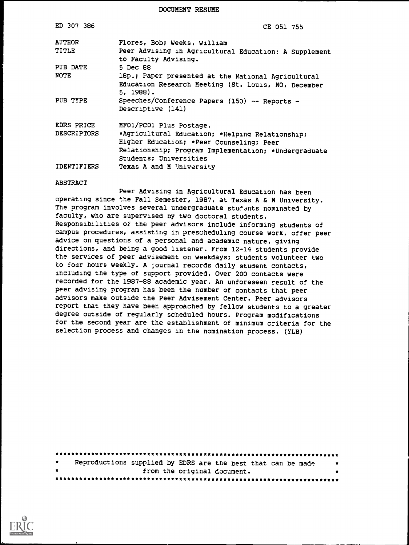DOCUMENT RESUME

| ED 307 386         | CE 051 755                                                                                                                                                                    |
|--------------------|-------------------------------------------------------------------------------------------------------------------------------------------------------------------------------|
| <b>AUTHOR</b>      | Flores, Bob; Weeks, William                                                                                                                                                   |
| TITLE              | Peer Advising in Agricultural Education: A Supplement<br>to Faculty Advising.                                                                                                 |
| PUB DATE           | 5 Dec 88                                                                                                                                                                      |
| <b>NOTE</b>        | 18p.; Paper presented at the National Agricultural                                                                                                                            |
|                    | Education Research Meeting (St. Louis, MO, December<br>5, 1988).                                                                                                              |
| PUB TYPE           | Speeches/Conference Papers (150) -- Reports -<br>Descriptive (141)                                                                                                            |
| EDRS PRICE         | MFO1/PCO1 Plus Postage.                                                                                                                                                       |
| <b>DESCRIPTORS</b> | *Agricultural Education; *Helping Relationship;<br>Higher Education; *Peer Counseling; Peer<br>Relationship; Program Implementation; *Undergraduate<br>Students; Universities |
| IDENTIFIERS        | Texas A and M University                                                                                                                                                      |

#### ABSTRACT

Peer Advising in Agricultural Education has been operating since the Fall Semester, 1987, at Texas A & M University. The program involves several undergraduate students nominated by faculty, who are supervised by two doctoral students. Responsibilities of the peer advisors include informing students of campus procedures, assisting in prescheduling course work, offer peer advice on questions of a personal and academic nature, giving directions, and being a good listener. From 12-14 students provide the services of peer advisement on weekdays; students volunteer two to four hours weekly. A 'journal records daily student contacts, including the type of support provided. Over 200 contacts were recorded for the 1987-88 academic year. An unforeseen result of the peer advising program has been the number of contacts that peer advisors make outside the Peer Advisement Center. Peer advisors report that they have been approached by fellow students to a greater degree outside of regularly scheduled hours. Program modifications for the second year are the establishment of minimum criteria for the selection process and changes in the nomination process. (YLB)

| $\star$ | Reproductions supplied by EDRS are the best that can be made |  |  |                             |  | 大大 |  |  |
|---------|--------------------------------------------------------------|--|--|-----------------------------|--|----|--|--|
| $\star$ |                                                              |  |  | from the original document. |  |    |  |  |
|         |                                                              |  |  |                             |  |    |  |  |

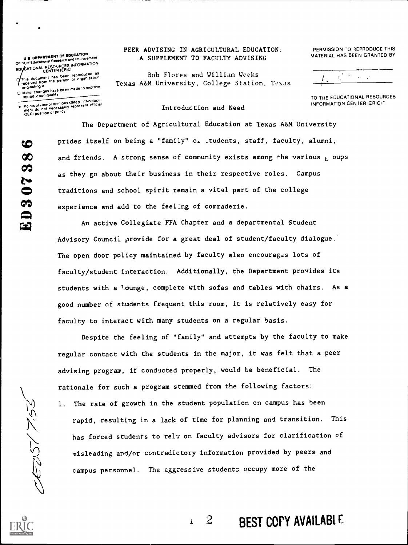### U S. DEPARTMENT OF EDUCATION<br>Office of Educational Research and improvement ED CATIONAL RESOURCES INFORMATION f film of the been reproduced as a medicine of the state of the state of the state of the state of the state of the state of the state of the state of the state of the state of the state of the state of the state of the st

onginattng it 0 Minor changes have been made to improve

reproduction quality<br>Points of view or opintons stated in this document<br>Internation or of policy<br>OEFII position or policy

#### PEER ADVISING IN AGRICULTURAL EDUCATION: PERMISSION TO REPRODUCE THIS A SUPPLEMENT TO FACULTY ADVISING

Bob Flores and William Weeks Texas A&M University, College Station, Texas MATERIAL HAS BEEN GRANTED BY

 $\frac{1}{\sqrt{2}}$  ,  $\frac{1}{\sqrt{2}}$  ,  $\frac{1}{\sqrt{2}}$  ,  $\frac{1}{\sqrt{2}}$ 

TO THE EDUCATIONAL RESOURCES INFORMATION CENTER (ERIC)"

#### Introduction and Need

The Department of Agricultural Education at Texas A&M University prides itself on being a "family" o. ,tudents, staff, faculty, alumni, and friends. A strong sense of community exists among the various  $_{6}$  oups as they go about their business in their respective roles. Campus traditions and school spirit remain a vital part of the college experience and add to the feeling of comraderie.

An active Collegiate FFA Chapter and a departmental Student Advisory Council provide for a great deal of student/faculty dialogue. The open door policy maintained by faculty also encourages lots of faculty/student interaction. Additionally, the Department provides its students with a lounge, complete with sofas and tables with chairs. As a good number of students frequent this room, it is relatively easy for faculty to interact with many students on a regular basis.

Despite the feeling of "family" and attempts by the faculty to make regular contact with the students in the major, it was felt that a peer advising program, if conducted properly, would Le beneficial. The rationale for such a program stemmed from the following factors:

1. The rate of growth in the student population on campus has been rapid, resulting in a lack of time for planning and transition. This has forced students to rely on faculty advisors for clarification of misleading and/or contradictory information provided by peers and campus personnel. The aggressive students occupy more of the

 $\mathbf{I}$ 



**REDS(753** 

2 BEST COPY AVAILABLE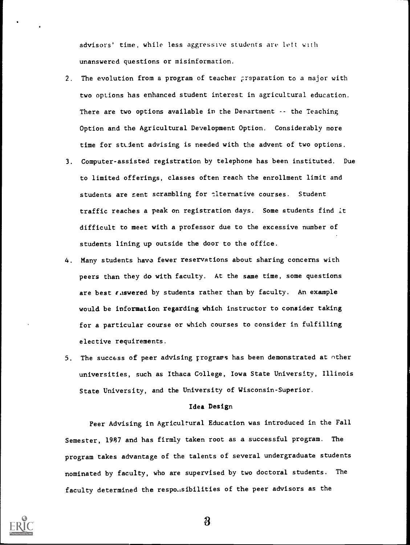advisors' time, while less aggressive students are lett with unanswered questions or misinformation.

- 2. The evolution from a program of teacher preparation to a major with two options has enhanced student interest in agricultural education. There are two options available in the Denartment -- the Teaching Option and the Agricultural Development Option. Considerably more time for student advising is needed with the advent of two options.
- 3. Computer-assisted registration by telephone has been instituted. Due to limited offerings, classes often reach the enrollment limit and students are sent scrambling for *elternative courses*. Student traffic reaches a peak on registration days. Some students find it difficult to meet with a professor due to the excessive number of students lining up outside the door to the office.
- 4. Many students have fewer reservations about sharing concerns with peers than they do with faculty. At the same time, some questions are best  $\epsilon$  aswered by students rather than by faculty. An example would be information regarding which instructor to consider taking for a particular course or which courses to consider in fulfilling elective requirements.
- 5. The success of peer advising rrogrars has been demonstrated at other universities, such as Ithaca College, Iowa State University, Illinois State University, and the University of Wisconsin-Superior.

#### Idea Design

Peer Advising in Agricultural Education was introduced in the Fall Semester, 1987 and has firmly taken root as a successful program. The program takes advantage of the talents of several undergraduate students nominated by faculty, who are supervised by two doctoral students. The faculty determined the respo.isibilities of the peer advisors as the



3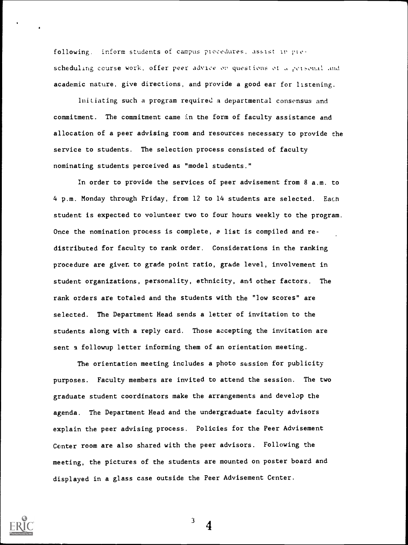following. inform students of campus procedures, assist in prescheduling course work, offer peer advice on questions of a getsonal and academic nature, give directions, and provide a good ear for listening.

initiating such a program required a departmental consensus and commitment. The commitment came in the form of faculty assistance and allocation of a peer advising room and resources necessary to provide the service to students. The selection process consisted of faculty nominating students perceived as "model students."

in order to provide the services of peer advisement from 8 a.m. to 4 p.m. Monday through Friday, from 12 to 14 students are selected. Each student is expected to volunteer two to four hours weekly to the program. Once the nomination process is complete, a list is compiled and redistributed for faculty to rank order. Considerations in the ranking procedure are given to grade point ratio, grade level, involvement in student organizations, personality, ethnicity, and other factors. The rank orders are totaled and the students with the "low scores" are selected. The Department Head sends a letter of invitation to the students along with a reply card. Those accepting the invitation are sent a followup letter informing them of an orientation meeting.

The orientation meeting includes a photo session for publicity purposes. Faculty members are invited to attend the session. The two graduate student coordinators make the arrangements and develop the agenda. The Department Head and the undergraduate faculty advisors explain the peer advising process. Policies for the Peer Advisement Center room are also shared with the peer advisors. Following the meeting, the pictures of the students are mounted on poster board and displayed in a glass case outside the Peer Advisement Center.



 $\frac{3}{4}$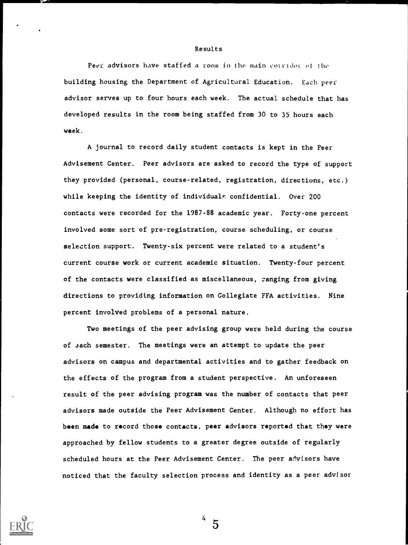#### Results

Peer advisors have staffed a room in the main corridor of the building housing the Department of Agricultural Education. Each peer advisor serves up to four hours each week. The actual schedule that has developed results in the room being staffed from 30 to 35 hours each week.

A journal to record daily student contacts is kept in the Peer Advisement Center. Peer advisors are asked to record the type of support they provided (personal, course-related, registration, directions, etc.) while keeping the identity of individuals confidential. Over 200 contacts were recorded for the 1987-88 academic year. Forty-one percent involved some sort of pre-registration, course scheduling, or course selection support. Twenty-six percent were related to a student's current course work or current academic situation. Twenty-four percent of the contacts were classified as miscellaneous, ranging from giving directions to providing information on Collegiate FFA activities. Nine percent involved problems of a personal nature.

Two meetings of the peer advising group were held during the course of aach semester. The meetings were an attempt to update the peer advisors on campus and departmental activities and to gather feedback on the effects of the program from a student perspective. An unforeseen result of the peer advising program was the number of contacts that peer advisors made outside the Peer Advisement Center. Although no effort has been made to record those contacts, peer advisors reported that they were approached by fellow students to a greater degree outside of regularly scheduled hours at the Peer Advisement Center. The peer advisors have noticed that the faculty selection process and identity as a peer advisor



 $4\,5$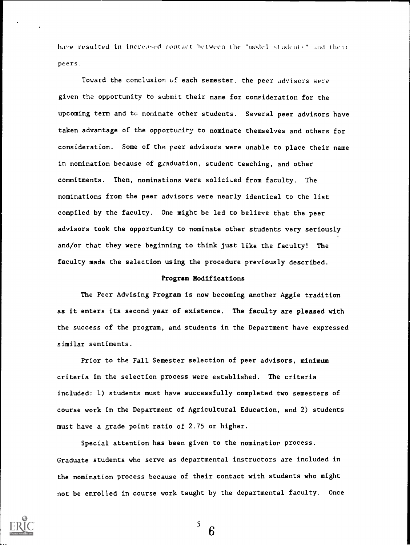have resulted in increased contact between the "model students" and their peers.

Toward the conclusion uf each semester, the peer advisors were given the opportunity to submit their name for consideration for the upcoming term and to nominate other students. Several peer advisors have taken advantage of the opportunity to nominate themselves and others for consideration. Some of the reer advisors were unable to place their name in nomination because of graduation, student teaching, and other commitments. Then, nominations were solicited from faculty. The nominations from the peer advisors were nearly identical to the list compiled by the faculty. One might be led to believe that the peer advisors took the opportunity to nominate other students very seriously and/or that they were beginning to think just like the faculty! The faculty made the selection using the procedure previously described.

#### Program Modifications

The Peer Advising Program is now becoming another Aggie tradition as it enters its second year of existence. The faculty are pleased with the success of the program, and students in the Department have expressed similar sentiments.

Prior to the Fall Semester selection of peer advisors, minimum criteria in the selection process were established. The criteria included: 1) students must have successfully completed two semesters of course work in the Department of Agricultural Education, and 2) students must have a grade point ratio of 2.75 or higher.

Special attention has been given to the nomination process. Graduate students who serve as departmental instructors are included in the nomination process because of their contact with students who might not be enrolled in course work taught by the departmental faculty. Once



 $\overline{\phantom{a}}$  6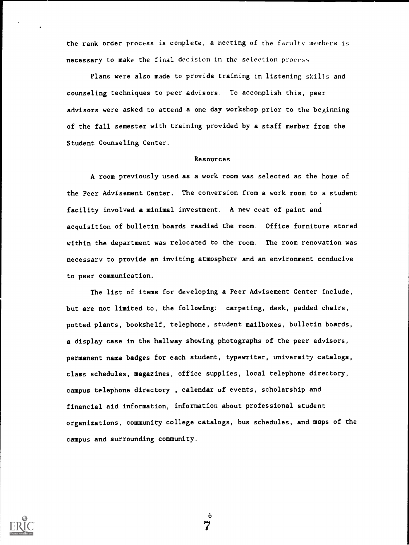the rank order process is complete, a meeting of the faculty members is necessary to make the final decision in the selection process,

Plans were also made to provide training in listening skills and counseling techniques to peer advisors. To accomplish this, peer advisors were asked to attend a one day workshop prior to the beginning of the fall semester with training provided by a staff member from the Student Counseling Center.

#### Resources

A room previously used as a work room was selected as the home of the Peer Advisement Center. The conversion from a work room to a student facility involved a minimal investment. A new coat of paint and acquisition of bulletin boards readied the room. Office furniture stored within the department was relocated to the room. The room renovation was necessary to provide an inviting atmosphere and an environment conducive to peer communication.

The list of items for developing a Peer Advisement Center include, but are not limited to, the following: carpeting, desk, padded chairs, potted plants, bookshelf, telephone, student mailboxes, bulletin boards, a display case in the hallway showing photographs of the peer advisors, permanent name badges for each student, typewriter, university catalogs, class schedules, magazines, office supplies, local telephone directory, campus telephone directory , calendar of events, scholarship and financial aid information, information about professional student organizations, community college catalogs, bus schedules, and maps of the campus and surrounding community.



6 7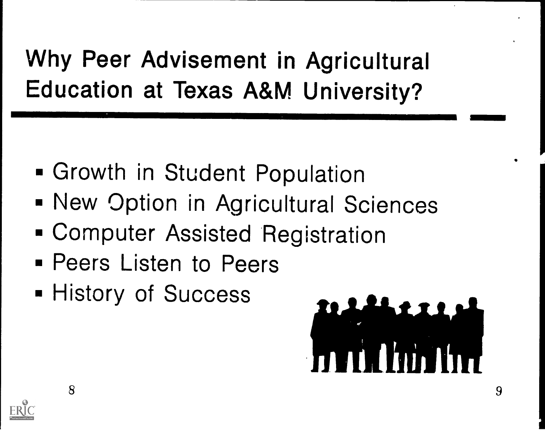Why Peer Advisement in Agricultural Education at Texas A&M University?

- Growth in Student Population
- **New Option in Agricultural Sciences**
- Computer Assisted Registration
- **Peers Listen to Peers**
- **History of Success**



 $\mathsf{R}$ 

 $\blacksquare$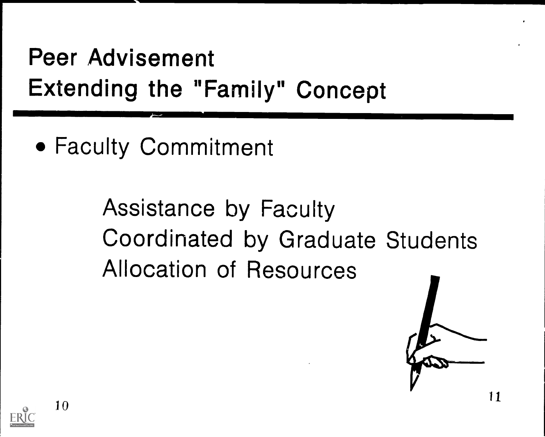Peer Advisement Extending the "Family" Concept

Faculty Commitment

Assistance by Faculty Coordinated by Graduate Students Allocation of Resources



10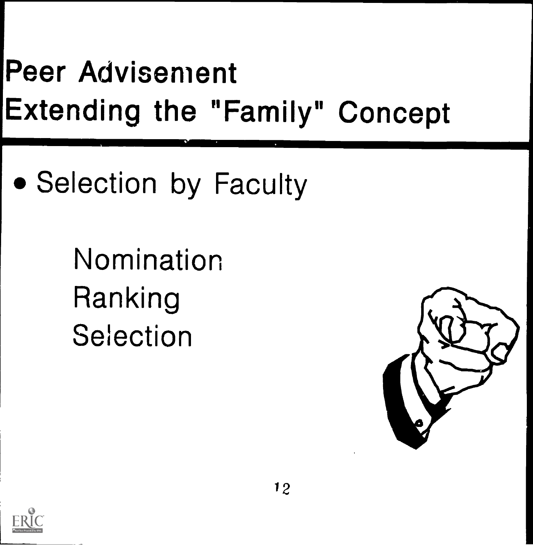## Peer Advisement Extending the "Family" Concept

• Selection by Faculty

Nomination Ranking Selection



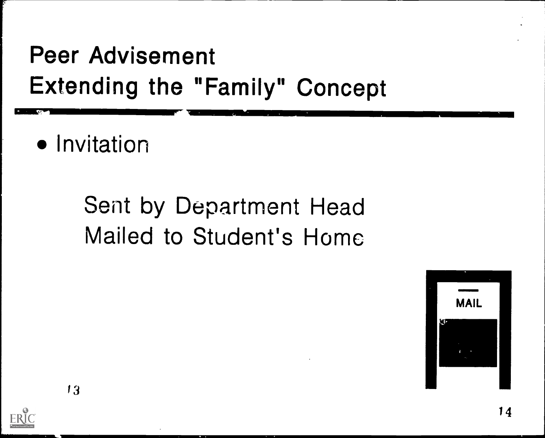### Peer Advisement Extending the "Family" Concept ...................--

• Invitation

# Sent by Department Head Mailed to Student's Home

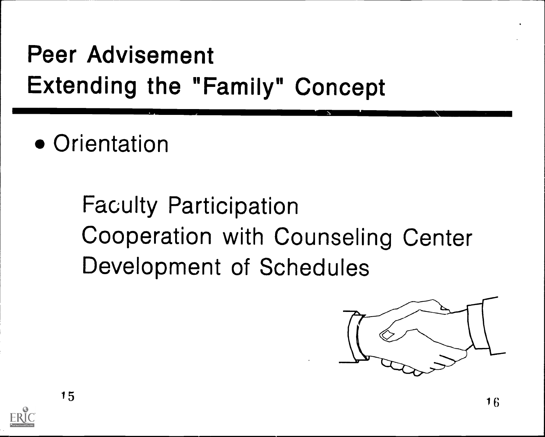### Peer Advisement Extending the "Family" Concept

• Orientation

Faculty Participation Cooperation with Counseling Center Development of Schedules